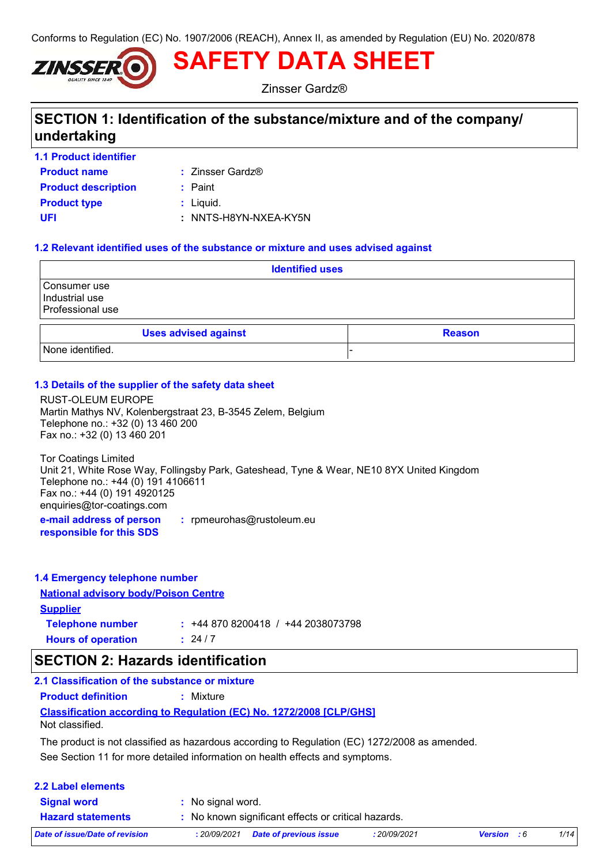Conforms to Regulation (EC) No. 1907/2006 (REACH), Annex II, as amended by Regulation (EU) No. 2020/878



**SAFETY DATA SHEET**

Zinsser Gardz®

# **SECTION 1: Identification of the substance/mixture and of the company/ undertaking**

- **1.1 Product identifier**
- **Product name**  $\qquad$  **:** Zinsser Gardz®

**Product type**  $\qquad$ **:** Liquid. **Product description :** Paint **UFI :** NNTS-H8YN-NXEA-KY5N

### **1.2 Relevant identified uses of the substance or mixture and uses advised against**

| <b>Identified uses</b>                             |  |  |  |
|----------------------------------------------------|--|--|--|
| Consumer use<br>Industrial use<br>Professional use |  |  |  |
| <b>Uses advised against</b><br><b>Reason</b>       |  |  |  |
| None identified.                                   |  |  |  |

### **1.3 Details of the supplier of the safety data sheet**

RUST-OLEUM EUROPE Martin Mathys NV, Kolenbergstraat 23, B-3545 Zelem, Belgium Telephone no.: +32 (0) 13 460 200 Fax no.: +32 (0) 13 460 201

**e-mail address of person :** rpmeurohas@rustoleum.eu Tor Coatings Limited Unit 21, White Rose Way, Follingsby Park, Gateshead, Tyne & Wear, NE10 8YX United Kingdom Telephone no.: +44 (0) 191 4106611 Fax no.: +44 (0) 191 4920125 enquiries@tor-coatings.com

**responsible for this SDS**

| 1.4 Emergency telephone number              |                                   |
|---------------------------------------------|-----------------------------------|
| <b>National advisory body/Poison Centre</b> |                                   |
| <b>Supplier</b>                             |                                   |
| <b>Telephone number</b>                     | $: +448708200418 / +442038073798$ |
| <b>Hours of operation</b>                   | .24/7                             |

## **SECTION 2: Hazards identification**

**Classification according to Regulation (EC) No. 1272/2008 [CLP/GHS] 2.1 Classification of the substance or mixture Product definition :** Mixture Not classified.

See Section 11 for more detailed information on health effects and symptoms. The product is not classified as hazardous according to Regulation (EC) 1272/2008 as amended.

| <b>2.2 Label elements</b>      |                                                     |              |                    |      |
|--------------------------------|-----------------------------------------------------|--------------|--------------------|------|
| <b>Signal word</b>             | : No signal word.                                   |              |                    |      |
| <b>Hazard statements</b>       | : No known significant effects or critical hazards. |              |                    |      |
| Date of issue/Date of revision | <b>Date of previous issue</b><br>:20/09/2021        | : 20/09/2021 | <b>Version</b> : 6 | 1/14 |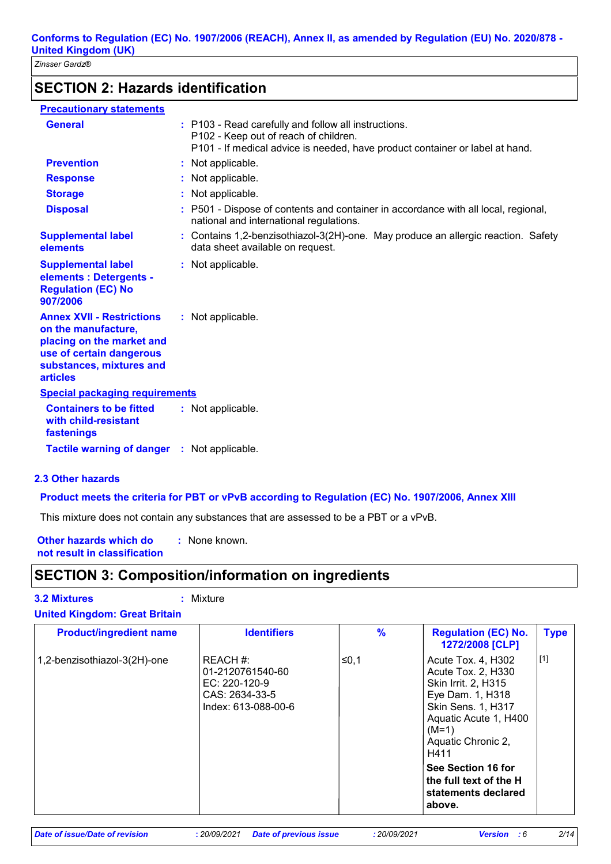# **SECTION 2: Hazards identification**

| <b>Precautionary statements</b>                                                                                                                                 |                                                                                                                                                                               |
|-----------------------------------------------------------------------------------------------------------------------------------------------------------------|-------------------------------------------------------------------------------------------------------------------------------------------------------------------------------|
| <b>General</b>                                                                                                                                                  | : P103 - Read carefully and follow all instructions.<br>P102 - Keep out of reach of children.<br>P101 - If medical advice is needed, have product container or label at hand. |
| <b>Prevention</b>                                                                                                                                               | : Not applicable.                                                                                                                                                             |
| <b>Response</b>                                                                                                                                                 | : Not applicable.                                                                                                                                                             |
| <b>Storage</b>                                                                                                                                                  | : Not applicable.                                                                                                                                                             |
| <b>Disposal</b>                                                                                                                                                 | : P501 - Dispose of contents and container in accordance with all local, regional,<br>national and international regulations.                                                 |
| <b>Supplemental label</b><br>elements                                                                                                                           | : Contains 1,2-benzisothiazol-3(2H)-one. May produce an allergic reaction. Safety<br>data sheet available on request.                                                         |
| <b>Supplemental label</b><br>elements : Detergents -<br><b>Regulation (EC) No</b><br>907/2006                                                                   | : Not applicable.                                                                                                                                                             |
| <b>Annex XVII - Restrictions</b><br>on the manufacture,<br>placing on the market and<br>use of certain dangerous<br>substances, mixtures and<br><b>articles</b> | : Not applicable.                                                                                                                                                             |
| <b>Special packaging requirements</b>                                                                                                                           |                                                                                                                                                                               |
| <b>Containers to be fitted</b><br>with child-resistant<br>fastenings                                                                                            | : Not applicable.                                                                                                                                                             |
| <b>Tactile warning of danger</b>                                                                                                                                | : Not applicable.                                                                                                                                                             |

## **2.3 Other hazards**

### **Product meets the criteria for PBT or vPvB according to Regulation (EC) No. 1907/2006, Annex XIII**

This mixture does not contain any substances that are assessed to be a PBT or a vPvB.

**Other hazards which do : not result in classification** : None known.

# **SECTION 3: Composition/information on ingredients**

#### **3.2 Mixtures :** Mixture

| <b>Product/ingredient name</b> | <b>Identifiers</b>                                                                     | $\%$  | <b>Regulation (EC) No.</b><br>1272/2008 [CLP]                                                                                                                                      | <b>Type</b> |
|--------------------------------|----------------------------------------------------------------------------------------|-------|------------------------------------------------------------------------------------------------------------------------------------------------------------------------------------|-------------|
| 1,2-benzisothiazol-3(2H)-one   | REACH #:<br>01-2120761540-60<br>EC: 220-120-9<br>CAS: 2634-33-5<br>Index: 613-088-00-6 | ∣≤0.1 | Acute Tox. 4, H302<br>Acute Tox. 2, H330<br>Skin Irrit. 2, H315<br>Eye Dam. 1, H318<br><b>Skin Sens. 1, H317</b><br>Aquatic Acute 1, H400<br>$(M=1)$<br>Aquatic Chronic 2,<br>H411 | $[1]$       |
|                                |                                                                                        |       | See Section 16 for<br>the full text of the H<br>statements declared<br>above.                                                                                                      |             |

## **United Kingdom: Great Britain**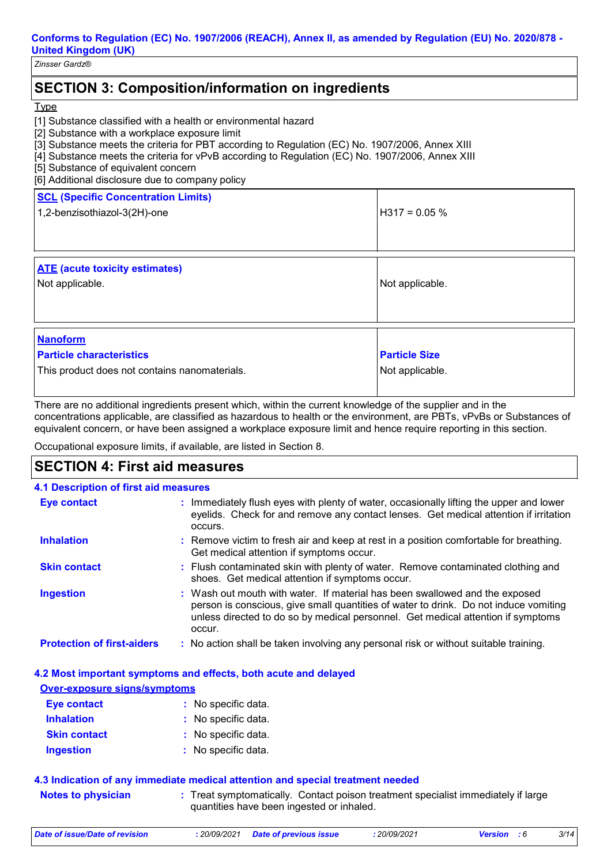**Conforms to Regulation (EC) No. 1907/2006 (REACH), Annex II, as amended by Regulation (EU) No. 2020/878 - United Kingdom (UK)**

*Zinsser Gardz®*

# **SECTION 3: Composition/information on ingredients**

#### **Type**

- [1] Substance classified with a health or environmental hazard
- [2] Substance with a workplace exposure limit
- [3] Substance meets the criteria for PBT according to Regulation (EC) No. 1907/2006, Annex XIII
- [4] Substance meets the criteria for vPvB according to Regulation (EC) No. 1907/2006, Annex XIII
- [5] Substance of equivalent concern
- [6] Additional disclosure due to company policy

| <b>SCL (Specific Concentration Limits)</b><br>1,2-benzisothiazol-3(2H)-one | $H317 = 0.05 \%$     |
|----------------------------------------------------------------------------|----------------------|
| <b>ATE</b> (acute toxicity estimates)<br>Not applicable.                   | Not applicable.      |
| <b>Nanoform</b><br><b>Particle characteristics</b>                         | <b>Particle Size</b> |

This product does not contains nanomaterials.

There are no additional ingredients present which, within the current knowledge of the supplier and in the concentrations applicable, are classified as hazardous to health or the environment, are PBTs, vPvBs or Substances of equivalent concern, or have been assigned a workplace exposure limit and hence require reporting in this section.

Not applicable.

Occupational exposure limits, if available, are listed in Section 8.

# **SECTION 4: First aid measures**

| <b>4.1 Description of first aid measures</b> |                                                                                                                                                                                                                                                                   |
|----------------------------------------------|-------------------------------------------------------------------------------------------------------------------------------------------------------------------------------------------------------------------------------------------------------------------|
| <b>Eye contact</b>                           | : Immediately flush eyes with plenty of water, occasionally lifting the upper and lower<br>eyelids. Check for and remove any contact lenses. Get medical attention if irritation<br>occurs.                                                                       |
| <b>Inhalation</b>                            | : Remove victim to fresh air and keep at rest in a position comfortable for breathing.<br>Get medical attention if symptoms occur.                                                                                                                                |
| <b>Skin contact</b>                          | : Flush contaminated skin with plenty of water. Remove contaminated clothing and<br>shoes. Get medical attention if symptoms occur.                                                                                                                               |
| <b>Ingestion</b>                             | : Wash out mouth with water. If material has been swallowed and the exposed<br>person is conscious, give small quantities of water to drink. Do not induce vomiting<br>unless directed to do so by medical personnel. Get medical attention if symptoms<br>occur. |
| <b>Protection of first-aiders</b>            | : No action shall be taken involving any personal risk or without suitable training.                                                                                                                                                                              |

### **4.2 Most important symptoms and effects, both acute and delayed**

### **Over-exposure signs/symptoms**

| Eye contact         | : No specific data. |
|---------------------|---------------------|
| <b>Inhalation</b>   | : No specific data. |
| <b>Skin contact</b> | : No specific data. |
| <b>Ingestion</b>    | : No specific data. |

### **4.3 Indication of any immediate medical attention and special treatment needed**

**Notes to physician** : Treat symptomatically. Contact poison treatment specialist immediately if large in the symptomatically. quantities have been ingested or inhaled.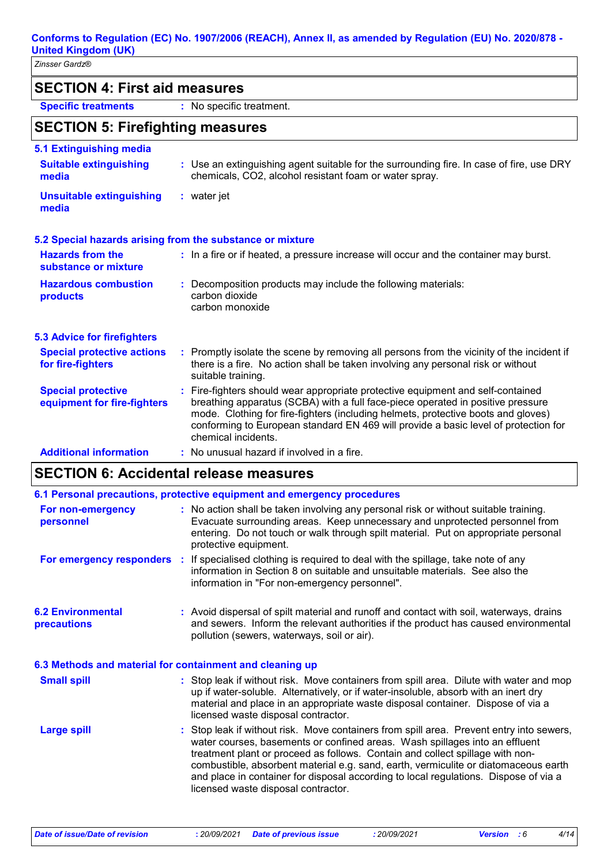# **SECTION 4: First aid measures**

**Specific treatments :** No specific treatment.

## **SECTION 5: Firefighting measures**

| 5.1 Extinguishing media                                  |                                                                                                                                                                                                                                                                                                                                                                       |
|----------------------------------------------------------|-----------------------------------------------------------------------------------------------------------------------------------------------------------------------------------------------------------------------------------------------------------------------------------------------------------------------------------------------------------------------|
| <b>Suitable extinguishing</b><br>media                   | : Use an extinguishing agent suitable for the surrounding fire. In case of fire, use DRY<br>chemicals, CO2, alcohol resistant foam or water spray.                                                                                                                                                                                                                    |
| <b>Unsuitable extinguishing</b><br>media                 | $:$ water jet                                                                                                                                                                                                                                                                                                                                                         |
|                                                          | 5.2 Special hazards arising from the substance or mixture                                                                                                                                                                                                                                                                                                             |
| <b>Hazards from the</b><br>substance or mixture          | : In a fire or if heated, a pressure increase will occur and the container may burst.                                                                                                                                                                                                                                                                                 |
| <b>Hazardous combustion</b><br>products                  | : Decomposition products may include the following materials:<br>carbon dioxide<br>carbon monoxide                                                                                                                                                                                                                                                                    |
| <b>5.3 Advice for firefighters</b>                       |                                                                                                                                                                                                                                                                                                                                                                       |
| <b>Special protective actions</b><br>for fire-fighters   | : Promptly isolate the scene by removing all persons from the vicinity of the incident if<br>there is a fire. No action shall be taken involving any personal risk or without<br>suitable training.                                                                                                                                                                   |
| <b>Special protective</b><br>equipment for fire-fighters | : Fire-fighters should wear appropriate protective equipment and self-contained<br>breathing apparatus (SCBA) with a full face-piece operated in positive pressure<br>mode. Clothing for fire-fighters (including helmets, protective boots and gloves)<br>conforming to European standard EN 469 will provide a basic level of protection for<br>chemical incidents. |
| <b>Additional information</b>                            | : No unusual hazard if involved in a fire.                                                                                                                                                                                                                                                                                                                            |

# **SECTION 6: Accidental release measures**

|                                                          | 6.1 Personal precautions, protective equipment and emergency procedures                                                                                                                                                                                                                                                                                                                                                                                                        |
|----------------------------------------------------------|--------------------------------------------------------------------------------------------------------------------------------------------------------------------------------------------------------------------------------------------------------------------------------------------------------------------------------------------------------------------------------------------------------------------------------------------------------------------------------|
| For non-emergency<br>personnel                           | : No action shall be taken involving any personal risk or without suitable training.<br>Evacuate surrounding areas. Keep unnecessary and unprotected personnel from<br>entering. Do not touch or walk through spilt material. Put on appropriate personal<br>protective equipment.                                                                                                                                                                                             |
|                                                          | <b>For emergency responders</b> : If specialised clothing is required to deal with the spillage, take note of any<br>information in Section 8 on suitable and unsuitable materials. See also the<br>information in "For non-emergency personnel".                                                                                                                                                                                                                              |
| <b>6.2 Environmental</b><br>precautions                  | : Avoid dispersal of spilt material and runoff and contact with soil, waterways, drains<br>and sewers. Inform the relevant authorities if the product has caused environmental<br>pollution (sewers, waterways, soil or air).                                                                                                                                                                                                                                                  |
| 6.3 Methods and material for containment and cleaning up |                                                                                                                                                                                                                                                                                                                                                                                                                                                                                |
| <b>Small spill</b>                                       | : Stop leak if without risk. Move containers from spill area. Dilute with water and mop<br>up if water-soluble. Alternatively, or if water-insoluble, absorb with an inert dry<br>material and place in an appropriate waste disposal container. Dispose of via a<br>licensed waste disposal contractor.                                                                                                                                                                       |
| <b>Large spill</b>                                       | : Stop leak if without risk. Move containers from spill area. Prevent entry into sewers,<br>water courses, basements or confined areas. Wash spillages into an effluent<br>treatment plant or proceed as follows. Contain and collect spillage with non-<br>combustible, absorbent material e.g. sand, earth, vermiculite or diatomaceous earth<br>and place in container for disposal according to local regulations. Dispose of via a<br>licensed waste disposal contractor. |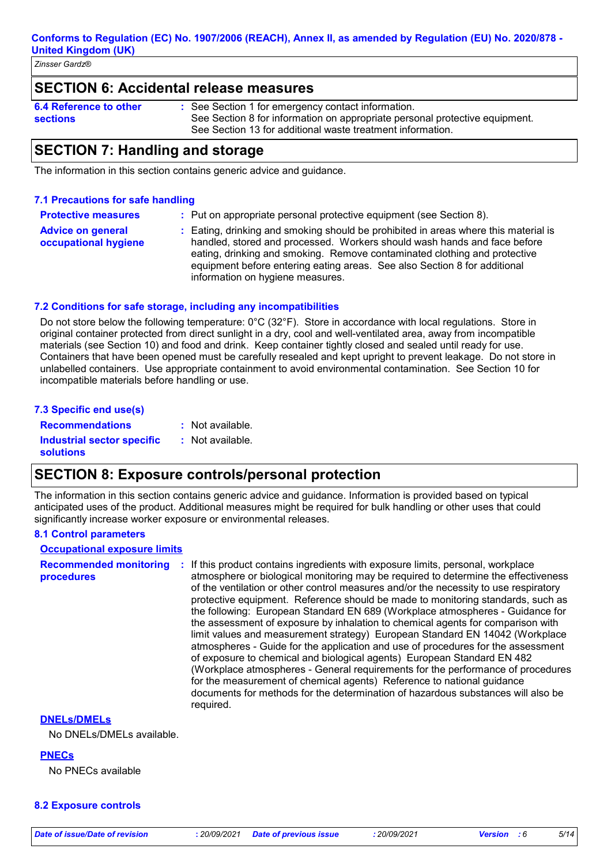**Conforms to Regulation (EC) No. 1907/2006 (REACH), Annex II, as amended by Regulation (EU) No. 2020/878 - United Kingdom (UK)**

*Zinsser Gardz®*

## **SECTION 6: Accidental release measures**

**6.4 Reference to other sections**

See Section 1 for emergency contact information. **:** See Section 8 for information on appropriate personal protective equipment. See Section 13 for additional waste treatment information.

## **SECTION 7: Handling and storage**

The information in this section contains generic advice and guidance.

### **7.1 Precautions for safe handling**

**Protective measures :** Put on appropriate personal protective equipment (see Section 8).

**Advice on general occupational hygiene :** Eating, drinking and smoking should be prohibited in areas where this material is handled, stored and processed. Workers should wash hands and face before eating, drinking and smoking. Remove contaminated clothing and protective equipment before entering eating areas. See also Section 8 for additional information on hygiene measures.

### **7.2 Conditions for safe storage, including any incompatibilities**

Do not store below the following temperature: 0°C (32°F). Store in accordance with local regulations. Store in original container protected from direct sunlight in a dry, cool and well-ventilated area, away from incompatible materials (see Section 10) and food and drink. Keep container tightly closed and sealed until ready for use. Containers that have been opened must be carefully resealed and kept upright to prevent leakage. Do not store in unlabelled containers. Use appropriate containment to avoid environmental contamination. See Section 10 for incompatible materials before handling or use.

| 7.3 Specific end use(s)    |                  |
|----------------------------|------------------|
| <b>Recommendations</b>     | : Not available. |
| Industrial sector specific | : Not available. |
| <b>solutions</b>           |                  |

## **SECTION 8: Exposure controls/personal protection**

The information in this section contains generic advice and guidance. Information is provided based on typical anticipated uses of the product. Additional measures might be required for bulk handling or other uses that could significantly increase worker exposure or environmental releases.

### **8.1 Control parameters**

| <b>Occupational exposure limits</b>         |                                                                                                                                                                                                                                                                                                                                                                                                                                                                                                                                                                                                                                                                                                                                                                                                                                                                                                                                                                                                                                  |
|---------------------------------------------|----------------------------------------------------------------------------------------------------------------------------------------------------------------------------------------------------------------------------------------------------------------------------------------------------------------------------------------------------------------------------------------------------------------------------------------------------------------------------------------------------------------------------------------------------------------------------------------------------------------------------------------------------------------------------------------------------------------------------------------------------------------------------------------------------------------------------------------------------------------------------------------------------------------------------------------------------------------------------------------------------------------------------------|
| <b>Recommended monitoring</b><br>procedures | If this product contains ingredients with exposure limits, personal, workplace<br>atmosphere or biological monitoring may be required to determine the effectiveness<br>of the ventilation or other control measures and/or the necessity to use respiratory<br>protective equipment. Reference should be made to monitoring standards, such as<br>the following: European Standard EN 689 (Workplace atmospheres - Guidance for<br>the assessment of exposure by inhalation to chemical agents for comparison with<br>limit values and measurement strategy) European Standard EN 14042 (Workplace<br>atmospheres - Guide for the application and use of procedures for the assessment<br>of exposure to chemical and biological agents) European Standard EN 482<br>(Workplace atmospheres - General requirements for the performance of procedures<br>for the measurement of chemical agents) Reference to national guidance<br>documents for methods for the determination of hazardous substances will also be<br>required. |
| <b>DNELS/DMELS</b>                          |                                                                                                                                                                                                                                                                                                                                                                                                                                                                                                                                                                                                                                                                                                                                                                                                                                                                                                                                                                                                                                  |
| $\blacksquare$                              |                                                                                                                                                                                                                                                                                                                                                                                                                                                                                                                                                                                                                                                                                                                                                                                                                                                                                                                                                                                                                                  |

No DNELs/DMELs available.

**PNECs**

No PNECs available

#### **8.2 Exposure controls**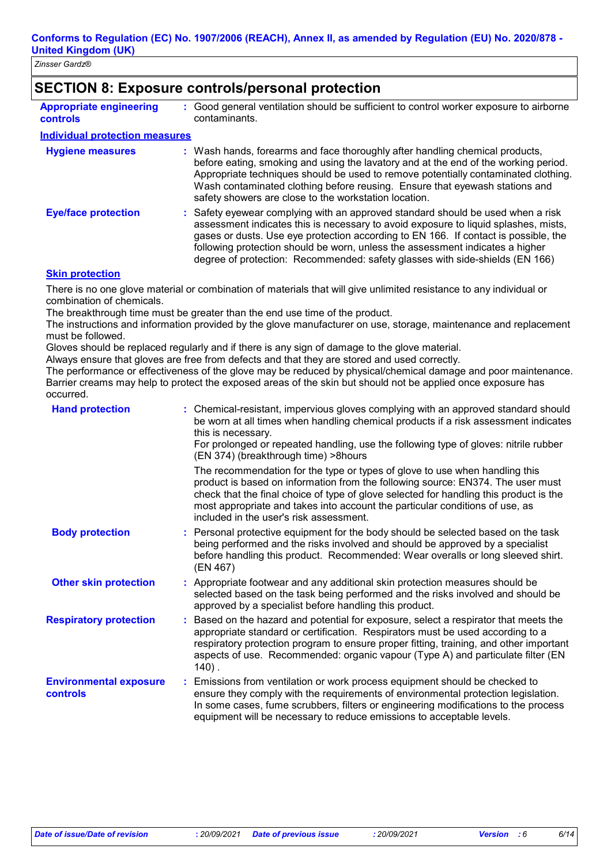| Zinsser Gardz® |  |
|----------------|--|
|                |  |

## **SECTION 8: Exposure controls/personal protection**

| <b>Appropriate engineering</b><br><b>controls</b> | : Good general ventilation should be sufficient to control worker exposure to airborne<br>contaminants.                                                                                                                                                                                                                                                                                                                        |
|---------------------------------------------------|--------------------------------------------------------------------------------------------------------------------------------------------------------------------------------------------------------------------------------------------------------------------------------------------------------------------------------------------------------------------------------------------------------------------------------|
| <b>Individual protection measures</b>             |                                                                                                                                                                                                                                                                                                                                                                                                                                |
| <b>Hygiene measures</b>                           | : Wash hands, forearms and face thoroughly after handling chemical products,<br>before eating, smoking and using the lavatory and at the end of the working period.<br>Appropriate techniques should be used to remove potentially contaminated clothing.<br>Wash contaminated clothing before reusing. Ensure that eyewash stations and<br>safety showers are close to the workstation location.                              |
| <b>Eye/face protection</b>                        | : Safety eyewear complying with an approved standard should be used when a risk<br>assessment indicates this is necessary to avoid exposure to liquid splashes, mists,<br>gases or dusts. Use eye protection according to EN 166. If contact is possible, the<br>following protection should be worn, unless the assessment indicates a higher<br>degree of protection: Recommended: safety glasses with side-shields (EN 166) |

#### **Skin protection**

There is no one glove material or combination of materials that will give unlimited resistance to any individual or combination of chemicals.

The breakthrough time must be greater than the end use time of the product.

The instructions and information provided by the glove manufacturer on use, storage, maintenance and replacement must be followed.

Gloves should be replaced regularly and if there is any sign of damage to the glove material.

Always ensure that gloves are free from defects and that they are stored and used correctly.

The performance or effectiveness of the glove may be reduced by physical/chemical damage and poor maintenance. Barrier creams may help to protect the exposed areas of the skin but should not be applied once exposure has occurred.

| <b>Hand protection</b>                    | : Chemical-resistant, impervious gloves complying with an approved standard should<br>be worn at all times when handling chemical products if a risk assessment indicates<br>this is necessary.<br>For prolonged or repeated handling, use the following type of gloves: nitrile rubber<br>(EN 374) (breakthrough time) > 8 hours                                                   |  |
|-------------------------------------------|-------------------------------------------------------------------------------------------------------------------------------------------------------------------------------------------------------------------------------------------------------------------------------------------------------------------------------------------------------------------------------------|--|
|                                           | The recommendation for the type or types of glove to use when handling this<br>product is based on information from the following source: EN374. The user must<br>check that the final choice of type of glove selected for handling this product is the<br>most appropriate and takes into account the particular conditions of use, as<br>included in the user's risk assessment. |  |
| <b>Body protection</b>                    | : Personal protective equipment for the body should be selected based on the task<br>being performed and the risks involved and should be approved by a specialist<br>before handling this product. Recommended: Wear overalls or long sleeved shirt.<br>(EN 467)                                                                                                                   |  |
| <b>Other skin protection</b>              | : Appropriate footwear and any additional skin protection measures should be<br>selected based on the task being performed and the risks involved and should be<br>approved by a specialist before handling this product.                                                                                                                                                           |  |
| <b>Respiratory protection</b>             | : Based on the hazard and potential for exposure, select a respirator that meets the<br>appropriate standard or certification. Respirators must be used according to a<br>respiratory protection program to ensure proper fitting, training, and other important<br>aspects of use. Recommended: organic vapour (Type A) and particulate filter (EN<br>$140$ .                      |  |
| <b>Environmental exposure</b><br>controls | : Emissions from ventilation or work process equipment should be checked to<br>ensure they comply with the requirements of environmental protection legislation.<br>In some cases, fume scrubbers, filters or engineering modifications to the process<br>equipment will be necessary to reduce emissions to acceptable levels.                                                     |  |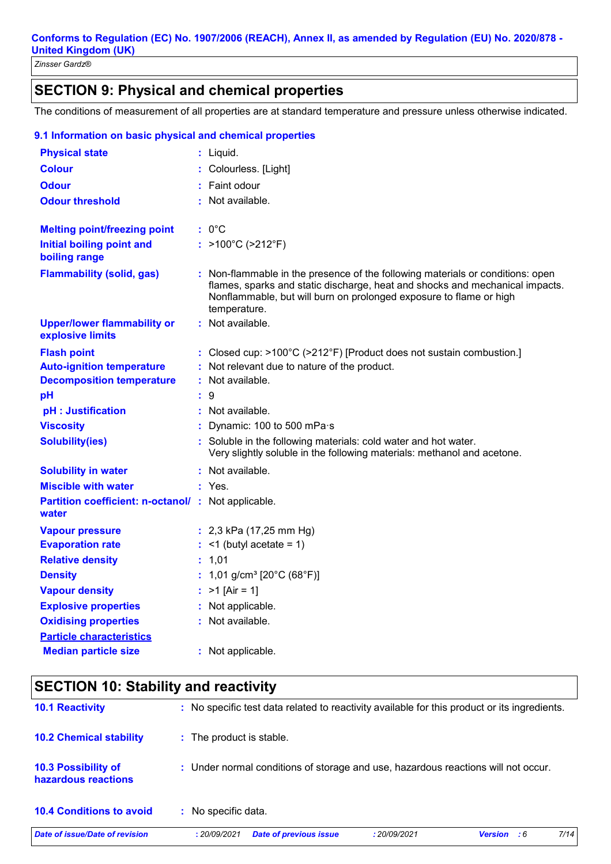# **SECTION 9: Physical and chemical properties**

The conditions of measurement of all properties are at standard temperature and pressure unless otherwise indicated.

| <b>Physical state</b>                                               | $:$ Liquid.                                                                                                                                                                                                                                          |
|---------------------------------------------------------------------|------------------------------------------------------------------------------------------------------------------------------------------------------------------------------------------------------------------------------------------------------|
| <b>Colour</b>                                                       | Colourless. [Light]                                                                                                                                                                                                                                  |
| <b>Odour</b>                                                        | Faint odour                                                                                                                                                                                                                                          |
| <b>Odour threshold</b>                                              | : Not available.                                                                                                                                                                                                                                     |
|                                                                     |                                                                                                                                                                                                                                                      |
| <b>Melting point/freezing point</b>                                 | : 0°C                                                                                                                                                                                                                                                |
| <b>Initial boiling point and</b><br>boiling range                   | : >100°C (>212°F)                                                                                                                                                                                                                                    |
| <b>Flammability (solid, gas)</b>                                    | : Non-flammable in the presence of the following materials or conditions: open<br>flames, sparks and static discharge, heat and shocks and mechanical impacts.<br>Nonflammable, but will burn on prolonged exposure to flame or high<br>temperature. |
| <b>Upper/lower flammability or</b><br>explosive limits              | : Not available.                                                                                                                                                                                                                                     |
| <b>Flash point</b>                                                  | : Closed cup: $>100^{\circ}$ C ( $>212^{\circ}$ F) [Product does not sustain combustion.]                                                                                                                                                            |
| <b>Auto-ignition temperature</b>                                    | : Not relevant due to nature of the product.                                                                                                                                                                                                         |
| <b>Decomposition temperature</b>                                    | : Not available.                                                                                                                                                                                                                                     |
| pH                                                                  | 9                                                                                                                                                                                                                                                    |
| pH : Justification                                                  | : Not available.                                                                                                                                                                                                                                     |
| <b>Viscosity</b>                                                    | Dynamic: 100 to 500 mPa·s                                                                                                                                                                                                                            |
| <b>Solubility(ies)</b>                                              | Soluble in the following materials: cold water and hot water.<br>Very slightly soluble in the following materials: methanol and acetone.                                                                                                             |
| <b>Solubility in water</b>                                          | : Not available.                                                                                                                                                                                                                                     |
| <b>Miscible with water</b>                                          | : Yes.                                                                                                                                                                                                                                               |
| <b>Partition coefficient: n-octanol/ : Not applicable.</b><br>water |                                                                                                                                                                                                                                                      |
| <b>Vapour pressure</b>                                              | : $2,3$ kPa (17,25 mm Hg)                                                                                                                                                                                                                            |
| <b>Evaporation rate</b>                                             | $:$ <1 (butyl acetate = 1)                                                                                                                                                                                                                           |
| <b>Relative density</b>                                             | : 1,01                                                                                                                                                                                                                                               |
| <b>Density</b>                                                      | : 1,01 g/cm <sup>3</sup> [20°C (68°F)]                                                                                                                                                                                                               |
| <b>Vapour density</b>                                               | : $>1$ [Air = 1]                                                                                                                                                                                                                                     |
| <b>Explosive properties</b>                                         | : Not applicable.                                                                                                                                                                                                                                    |
| <b>Oxidising properties</b>                                         | : Not available.                                                                                                                                                                                                                                     |
| <b>Particle characteristics</b>                                     |                                                                                                                                                                                                                                                      |
| <b>Median particle size</b>                                         | : Not applicable.                                                                                                                                                                                                                                    |

### **9.1 Information on basic physical and chemical properties**

# **SECTION 10: Stability and reactivity**

| Date of issue/Date of revision                    | :20/09/2021              | <b>Date of previous issue</b>                                                                | : 20/09/2021 | Version : 6 | 7/14 |
|---------------------------------------------------|--------------------------|----------------------------------------------------------------------------------------------|--------------|-------------|------|
| <b>10.4 Conditions to avoid</b>                   | No specific data.        |                                                                                              |              |             |      |
| <b>10.3 Possibility of</b><br>hazardous reactions |                          | : Under normal conditions of storage and use, hazardous reactions will not occur.            |              |             |      |
| <b>10.2 Chemical stability</b>                    | : The product is stable. |                                                                                              |              |             |      |
| <b>10.1 Reactivity</b>                            |                          | : No specific test data related to reactivity available for this product or its ingredients. |              |             |      |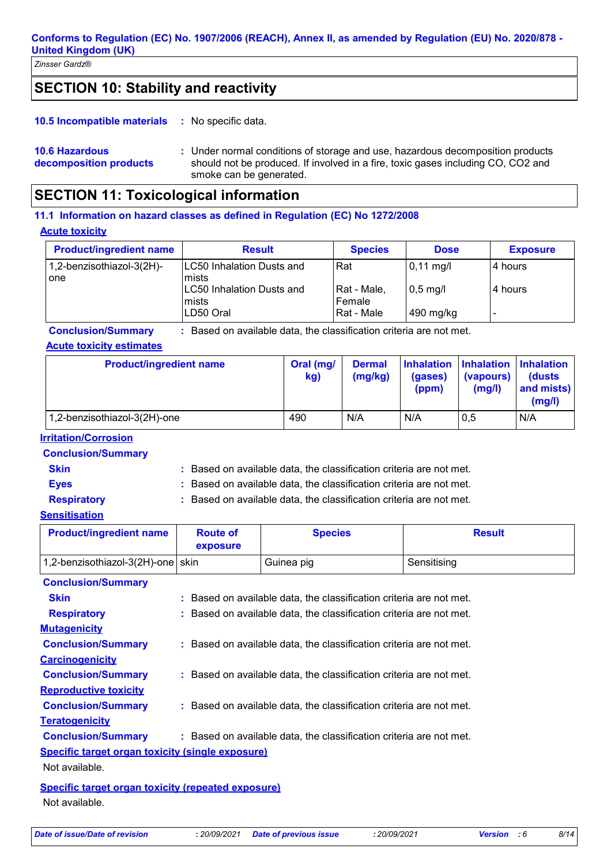# **SECTION 10: Stability and reactivity**

: No specific data. **10.5 Incompatible materials :**

```
10.6 Hazardous 
decomposition products
```
Under normal conditions of storage and use, hazardous decomposition products **:** should not be produced. If involved in a fire, toxic gases including CO, CO2 and smoke can be generated.

# **SECTION 11: Toxicological information**

**Acute toxicity 11.1 Information on hazard classes as defined in Regulation (EC) No 1272/2008**

| <b>Product/ingredient name</b> | <b>Result</b>                    | <b>Species</b> | <b>Dose</b>         | <b>Exposure</b> |
|--------------------------------|----------------------------------|----------------|---------------------|-----------------|
| 1,2-benzisothiazol-3(2H)-      | <b>LC50 Inhalation Dusts and</b> | Rat            | $0,11 \text{ mg/l}$ | 4 hours         |
| one                            | mists                            |                |                     |                 |
|                                | LC50 Inhalation Dusts and        | Rat - Male,    | $0,5$ mg/l          | 4 hours         |
|                                | <b>Imists</b>                    | Female         |                     |                 |
|                                | LD50 Oral                        | Rat - Male     | 490 mg/kg           |                 |

**Conclusion/Summary :** Based on available data, the classification criteria are not met.

### **Acute toxicity estimates**

| <b>Product/ingredient name</b> | Oral (mg/<br>kg) | <b>Dermal</b><br>(mg/kg) | (gases)<br>(ppm) | <b>Inhalation Inhalation Inhalation</b><br>(vapours)<br>(mg/l) | <b>(dusts)</b><br>and mists)<br>(mg/l) |
|--------------------------------|------------------|--------------------------|------------------|----------------------------------------------------------------|----------------------------------------|
| 1,2-benzisothiazol-3(2H)-one   | 490              | N/A                      | N/A              | 0,5                                                            | N/A                                    |

## **Irritation/Corrosion**

**Conclusion/Summary**

**Skin Example 2018 :** Based on available data, the classification criteria are not met.

**Eyes Exercise 2.1 CONSTERN EXECUTE:** Based on available data, the classification criteria are not met. **Respiratory :** Based on available data, the classification criteria are not met.

### **Sensitisation**

| <b>Product/ingredient name</b>    | <b>Route of</b><br>exposure | <b>Species</b> | <b>Result</b> |
|-----------------------------------|-----------------------------|----------------|---------------|
| 1,2-benzisothiazol-3(2H)-one skin |                             | Guinea pig     | Sensitising   |
| <b>Conclusion/Summary</b>         |                             |                |               |

| <b>Skin</b>                                             | : Based on available data, the classification criteria are not met. |  |  |  |
|---------------------------------------------------------|---------------------------------------------------------------------|--|--|--|
| <b>Respiratory</b>                                      | : Based on available data, the classification criteria are not met. |  |  |  |
| <b>Mutagenicity</b>                                     |                                                                     |  |  |  |
| <b>Conclusion/Summary</b>                               | : Based on available data, the classification criteria are not met. |  |  |  |
| <b>Carcinogenicity</b>                                  |                                                                     |  |  |  |
| <b>Conclusion/Summary</b>                               | : Based on available data, the classification criteria are not met. |  |  |  |
| <b>Reproductive toxicity</b>                            |                                                                     |  |  |  |
| <b>Conclusion/Summary</b>                               | : Based on available data, the classification criteria are not met. |  |  |  |
| <b>Teratogenicity</b>                                   |                                                                     |  |  |  |
| <b>Conclusion/Summary</b>                               | : Based on available data, the classification criteria are not met. |  |  |  |
| <b>Specific target organ toxicity (single exposure)</b> |                                                                     |  |  |  |
| Not available.                                          |                                                                     |  |  |  |
| Specific target organ toxicity (repeated exposure)      |                                                                     |  |  |  |

Not available.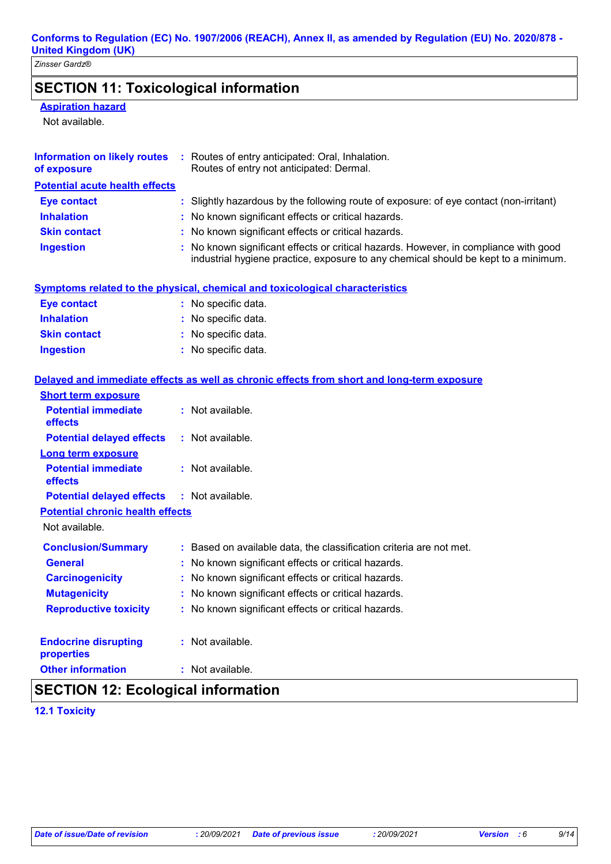# **SECTION 11: Toxicological information**

## **Aspiration hazard**

Not available.

| Information on likely routes<br>of exposure | : Routes of entry anticipated: Oral, Inhalation.<br>Routes of entry not anticipated: Dermal.                                                                               |
|---------------------------------------------|----------------------------------------------------------------------------------------------------------------------------------------------------------------------------|
| <b>Potential acute health effects</b>       |                                                                                                                                                                            |
| <b>Eye contact</b>                          | : Slightly hazardous by the following route of exposure: of eye contact (non-irritant)                                                                                     |
| <b>Inhalation</b>                           | : No known significant effects or critical hazards.                                                                                                                        |
| <b>Skin contact</b>                         | : No known significant effects or critical hazards.                                                                                                                        |
| <b>Ingestion</b>                            | : No known significant effects or critical hazards. However, in compliance with good<br>industrial hygiene practice, exposure to any chemical should be kept to a minimum. |

| Symptoms related to the physical, chemical and toxicological characteristics |
|------------------------------------------------------------------------------|
|------------------------------------------------------------------------------|

| <b>Eye contact</b>  | : No specific data. |
|---------------------|---------------------|
| <b>Inhalation</b>   | : No specific data. |
| <b>Skin contact</b> | : No specific data. |
| <b>Ingestion</b>    | : No specific data. |

## **Delayed and immediate effects as well as chronic effects from short and long-term exposure**

| <b>Short term exposure</b>                        |                                                                     |
|---------------------------------------------------|---------------------------------------------------------------------|
| <b>Potential immediate</b><br><b>effects</b>      | : Not available.                                                    |
| <b>Potential delayed effects</b>                  | $:$ Not available.                                                  |
| <b>Long term exposure</b>                         |                                                                     |
| <b>Potential immediate</b><br>effects             | : Not available.                                                    |
| <b>Potential delayed effects : Not available.</b> |                                                                     |
| <b>Potential chronic health effects</b>           |                                                                     |
| Not available.                                    |                                                                     |
| <b>Conclusion/Summary</b>                         | : Based on available data, the classification criteria are not met. |
| <b>General</b>                                    | No known significant effects or critical hazards.                   |
| <b>Carcinogenicity</b>                            | No known significant effects or critical hazards.                   |
| <b>Mutagenicity</b>                               | No known significant effects or critical hazards.<br>÷.             |
| <b>Reproductive toxicity</b>                      | : No known significant effects or critical hazards.                 |
| <b>Endocrine disrupting</b><br>properties         | : Not available.                                                    |
| <b>Other information</b>                          | : Not available.                                                    |

# **SECTION 12: Ecological information**

**12.1 Toxicity**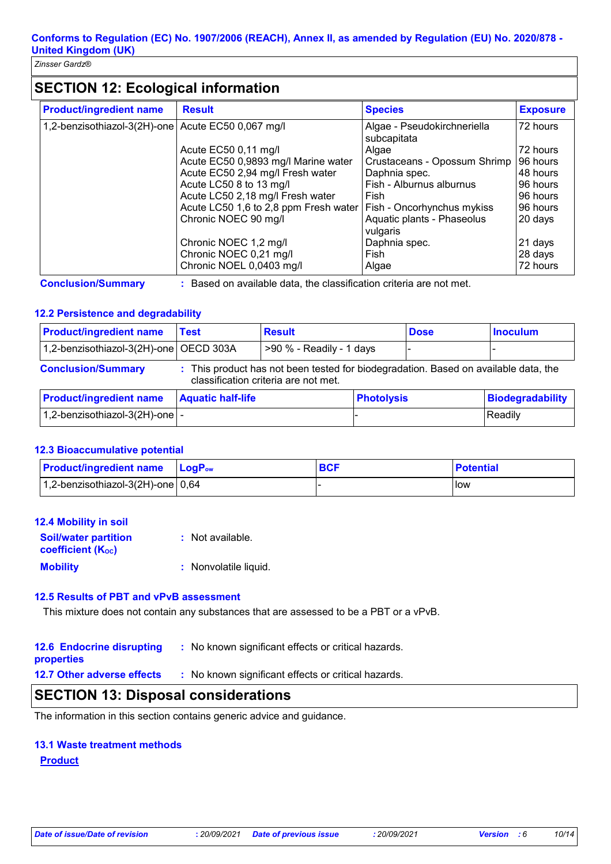# **SECTION 12: Ecological information**

| <b>Product/ingredient name</b>                     | <b>Result</b>                         | <b>Species</b>                             | <b>Exposure</b> |
|----------------------------------------------------|---------------------------------------|--------------------------------------------|-----------------|
| 1,2-benzisothiazol-3(2H)-one Acute EC50 0,067 mg/l |                                       | Algae - Pseudokirchneriella<br>subcapitata | 72 hours        |
|                                                    | Acute EC50 0,11 mg/l                  | Algae                                      | 72 hours        |
|                                                    | Acute EC50 0,9893 mg/l Marine water   | Crustaceans - Opossum Shrimp               | 96 hours        |
|                                                    | Acute EC50 2,94 mg/l Fresh water      | Daphnia spec.                              | 48 hours        |
|                                                    | Acute LC50 8 to 13 mg/l               | Fish - Alburnus alburnus                   | 96 hours        |
|                                                    | Acute LC50 2,18 mg/l Fresh water      | Fish                                       | 96 hours        |
|                                                    | Acute LC50 1,6 to 2,8 ppm Fresh water | Fish - Oncorhynchus mykiss                 | 96 hours        |
|                                                    | Chronic NOEC 90 mg/l                  | Aquatic plants - Phaseolus<br>vulgaris     | 20 days         |
|                                                    | Chronic NOEC 1,2 mg/l                 | Daphnia spec.                              | 21 days         |
|                                                    | Chronic NOEC 0,21 mg/l                | Fish                                       | 28 days         |
|                                                    | Chronic NOEL 0,0403 mg/l              | Algae                                      | 72 hours        |

**Conclusion/Summary :** Based on available data, the classification criteria are not met.

## **12.2 Persistence and degradability**

| <b>Product/ingredient name</b>                                                                                                                           | Test                     | <b>Result</b>            |                   | <b>Dose</b> | <b>Inoculum</b>         |
|----------------------------------------------------------------------------------------------------------------------------------------------------------|--------------------------|--------------------------|-------------------|-------------|-------------------------|
| 1,2-benzisothiazol-3(2H)-one   OECD 303A                                                                                                                 |                          | >90 % - Readily - 1 days |                   |             |                         |
| <b>Conclusion/Summary</b><br>: This product has not been tested for biodegradation. Based on available data, the<br>classification criteria are not met. |                          |                          |                   |             |                         |
| <b>Product/ingredient name</b>                                                                                                                           | <b>Aquatic half-life</b> |                          | <b>Photolysis</b> |             | <b>Biodegradability</b> |
| $1,2$ -benzisothiazol-3(2H)-one $\vert$ -                                                                                                                |                          |                          |                   |             | Readily                 |

### **12.3 Bioaccumulative potential**

| <b>Product/ingredient name</b> LogP <sub>ow</sub> | <b>BCF</b> | <b>Potential</b> |
|---------------------------------------------------|------------|------------------|
| $1,2$ -benzisothiazol-3(2H)-one 0,64              |            | low              |

| <b>12.4 Mobility in soil</b>                            |                       |
|---------------------------------------------------------|-----------------------|
| <b>Soil/water partition</b><br><b>coefficient (Koc)</b> | : Not available.      |
| <b>Mobility</b>                                         | : Nonvolatile liquid. |

### **12.5 Results of PBT and vPvB assessment**

This mixture does not contain any substances that are assessed to be a PBT or a vPvB.

**12.6 Endocrine disrupting : No known significant effects or critical hazards. properties**

## **12.7 Other adverse effects** : No known significant effects or critical hazards.

## **SECTION 13: Disposal considerations**

The information in this section contains generic advice and guidance.

### **13.1 Waste treatment methods**

### **Product**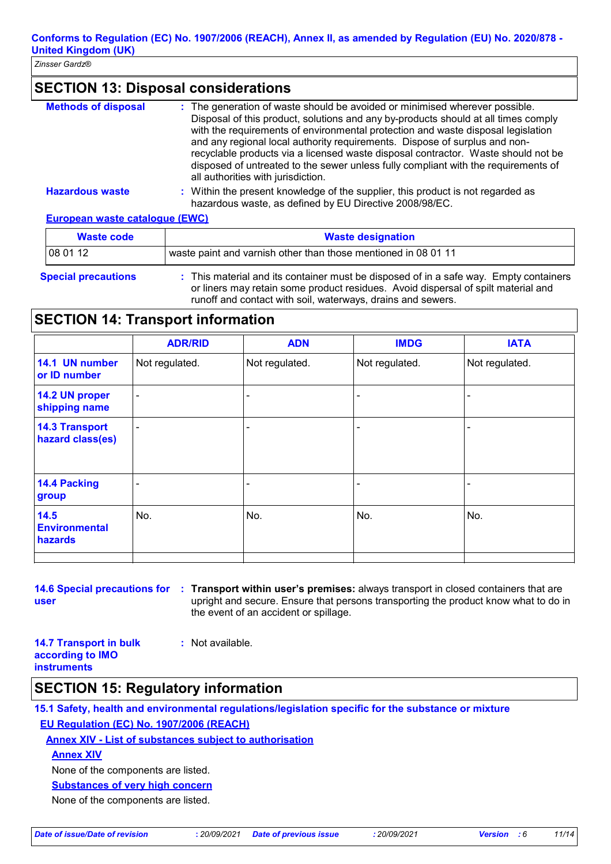# **SECTION 13: Disposal considerations**

| <b>Methods of disposal</b>            | : The generation of waste should be avoided or minimised wherever possible.<br>Disposal of this product, solutions and any by-products should at all times comply<br>with the requirements of environmental protection and waste disposal legislation<br>and any regional local authority requirements. Dispose of surplus and non-<br>recyclable products via a licensed waste disposal contractor. Waste should not be<br>disposed of untreated to the sewer unless fully compliant with the requirements of<br>all authorities with jurisdiction. |
|---------------------------------------|------------------------------------------------------------------------------------------------------------------------------------------------------------------------------------------------------------------------------------------------------------------------------------------------------------------------------------------------------------------------------------------------------------------------------------------------------------------------------------------------------------------------------------------------------|
| <b>Hazardous waste</b>                | : Within the present knowledge of the supplier, this product is not regarded as<br>hazardous waste, as defined by EU Directive 2008/98/EC.                                                                                                                                                                                                                                                                                                                                                                                                           |
| <b>European waste cataloque (EWC)</b> |                                                                                                                                                                                                                                                                                                                                                                                                                                                                                                                                                      |

| Waste code                 | <b>Waste designation</b>                                                                                                                                                                                 |
|----------------------------|----------------------------------------------------------------------------------------------------------------------------------------------------------------------------------------------------------|
| 108 01 12                  | waste paint and varnish other than those mentioned in 08 01 11                                                                                                                                           |
| <b>Special precautions</b> | : This material and its container must be disposed of in a safe way. Empty containers<br>المسحر المتسطح مستغللته والمتسم ومستلو المتعبية والمستحدث والمناطر وسيرو ومستحدث والمقصور ومستحدث وسيروا والمتح |

or liners may retain some product residues. Avoid dispersal of spilt material and runoff and contact with soil, waterways, drains and sewers.

## **SECTION 14: Transport information**

|                                           | <b>ADR/RID</b>           | <b>ADN</b>     | <b>IMDG</b>    | <b>IATA</b>    |
|-------------------------------------------|--------------------------|----------------|----------------|----------------|
| 14.1 UN number<br>or ID number            | Not regulated.           | Not regulated. | Not regulated. | Not regulated. |
| 14.2 UN proper<br>shipping name           | $\overline{\phantom{a}}$ |                |                |                |
| <b>14.3 Transport</b><br>hazard class(es) | $\overline{\phantom{a}}$ |                |                |                |
| 14.4 Packing<br>group                     | $\qquad \qquad$          |                |                |                |
| 14.5<br><b>Environmental</b><br>hazards   | No.                      | No.            | No.            | No.            |
|                                           |                          |                |                |                |

**14.6 Special precautions for : Transport within user's premises:** always transport in closed containers that are **user** upright and secure. Ensure that persons transporting the product know what to do in the event of an accident or spillage.

**14.7 Transport in bulk according to IMO :** Not available.

**instruments**

## **SECTION 15: Regulatory information**

**15.1 Safety, health and environmental regulations/legislation specific for the substance or mixture EU Regulation (EC) No. 1907/2006 (REACH)**

**Annex XIV - List of substances subject to authorisation**

**Annex XIV**

None of the components are listed.

**Substances of very high concern**

None of the components are listed.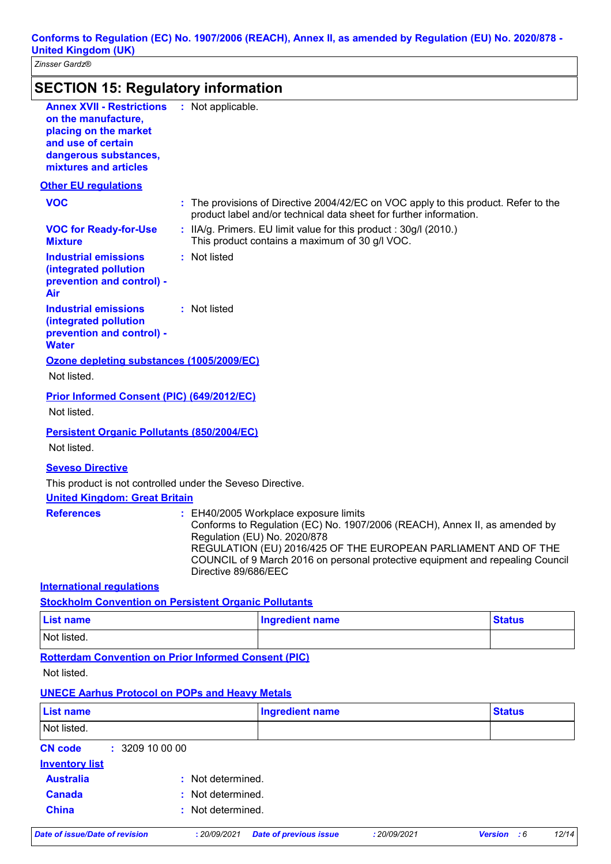**Conforms to Regulation (EC) No. 1907/2006 (REACH), Annex II, as amended by Regulation (EU) No. 2020/878 - United Kingdom (UK)**

*Zinsser Gardz®*

| <b>Annex XVII - Restrictions</b><br>on the manufacture,<br>placing on the market<br>and use of certain<br>dangerous substances,<br>mixtures and articles | : Not applicable.    |                                                                                                                                                     |              |                                                                                                                                                  |
|----------------------------------------------------------------------------------------------------------------------------------------------------------|----------------------|-----------------------------------------------------------------------------------------------------------------------------------------------------|--------------|--------------------------------------------------------------------------------------------------------------------------------------------------|
| <b>Other EU regulations</b>                                                                                                                              |                      |                                                                                                                                                     |              |                                                                                                                                                  |
| <b>VOC</b>                                                                                                                                               |                      | product label and/or technical data sheet for further information.                                                                                  |              | : The provisions of Directive 2004/42/EC on VOC apply to this product. Refer to the                                                              |
| <b>VOC for Ready-for-Use</b><br><b>Mixture</b>                                                                                                           |                      | : IIA/g. Primers. EU limit value for this product : 30g/l (2010.)<br>This product contains a maximum of 30 g/l VOC.                                 |              |                                                                                                                                                  |
| <b>Industrial emissions</b><br>(integrated pollution<br>prevention and control) -<br>Air                                                                 | : Not listed         |                                                                                                                                                     |              |                                                                                                                                                  |
| <b>Industrial emissions</b><br>(integrated pollution<br>prevention and control) -<br><b>Water</b>                                                        | : Not listed         |                                                                                                                                                     |              |                                                                                                                                                  |
| Ozone depleting substances (1005/2009/EC)<br>Not listed.                                                                                                 |                      |                                                                                                                                                     |              |                                                                                                                                                  |
| <b>Prior Informed Consent (PIC) (649/2012/EC)</b><br>Not listed.                                                                                         |                      |                                                                                                                                                     |              |                                                                                                                                                  |
| <b>Persistent Organic Pollutants (850/2004/EC)</b><br>Not listed.                                                                                        |                      |                                                                                                                                                     |              |                                                                                                                                                  |
| <b>Seveso Directive</b>                                                                                                                                  |                      |                                                                                                                                                     |              |                                                                                                                                                  |
| This product is not controlled under the Seveso Directive.<br><b>United Kingdom: Great Britain</b>                                                       |                      |                                                                                                                                                     |              |                                                                                                                                                  |
| <b>References</b>                                                                                                                                        | Directive 89/686/EEC | : EH40/2005 Workplace exposure limits<br>Conforms to Regulation (EC) No. 1907/2006 (REACH), Annex II, as amended by<br>Regulation (EU) No. 2020/878 |              | REGULATION (EU) 2016/425 OF THE EUROPEAN PARLIAMENT AND OF THE<br>COUNCIL of 9 March 2016 on personal protective equipment and repealing Council |
| <b>International regulations</b>                                                                                                                         |                      |                                                                                                                                                     |              |                                                                                                                                                  |
| <b>Stockholm Convention on Persistent Organic Pollutants</b>                                                                                             |                      |                                                                                                                                                     |              |                                                                                                                                                  |
| <b>List name</b>                                                                                                                                         |                      | <b>Ingredient name</b>                                                                                                                              |              | <b>Status</b>                                                                                                                                    |
| Not listed.                                                                                                                                              |                      |                                                                                                                                                     |              |                                                                                                                                                  |
| <b>Rotterdam Convention on Prior Informed Consent (PIC)</b><br>Not listed.                                                                               |                      |                                                                                                                                                     |              |                                                                                                                                                  |
| <b>UNECE Aarhus Protocol on POPs and Heavy Metals</b>                                                                                                    |                      |                                                                                                                                                     |              |                                                                                                                                                  |
| <b>List name</b>                                                                                                                                         |                      | <b>Ingredient name</b>                                                                                                                              |              | <b>Status</b>                                                                                                                                    |
| Not listed.                                                                                                                                              |                      |                                                                                                                                                     |              |                                                                                                                                                  |
| <b>CN code</b><br>: 3209100000                                                                                                                           |                      |                                                                                                                                                     |              |                                                                                                                                                  |
| <b>Inventory list</b>                                                                                                                                    |                      |                                                                                                                                                     |              |                                                                                                                                                  |
| <b>Australia</b>                                                                                                                                         | Not determined.      |                                                                                                                                                     |              |                                                                                                                                                  |
| <b>Canada</b>                                                                                                                                            | Not determined.      |                                                                                                                                                     |              |                                                                                                                                                  |
| <b>China</b>                                                                                                                                             | Not determined.      |                                                                                                                                                     |              |                                                                                                                                                  |
| <b>Date of issue/Date of revision</b>                                                                                                                    | : 20/09/2021         | <b>Date of previous issue</b>                                                                                                                       | : 20/09/2021 | Version : 6<br>12/14                                                                                                                             |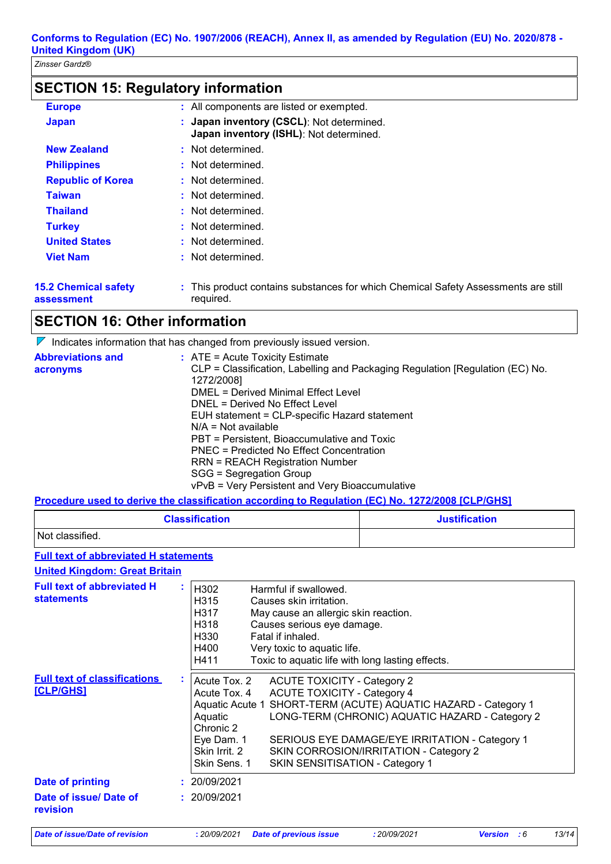# **SECTION 15: Regulatory information**

| <b>Europe</b>            | : All components are listed or exempted.                                             |
|--------------------------|--------------------------------------------------------------------------------------|
| Japan                    | : Japan inventory (CSCL): Not determined.<br>Japan inventory (ISHL): Not determined. |
| <b>New Zealand</b>       | : Not determined.                                                                    |
| <b>Philippines</b>       | : Not determined.                                                                    |
| <b>Republic of Korea</b> | : Not determined.                                                                    |
| <b>Taiwan</b>            | : Not determined.                                                                    |
| <b>Thailand</b>          | : Not determined.                                                                    |
| <b>Turkey</b>            | : Not determined.                                                                    |
| <b>United States</b>     | : Not determined.                                                                    |
| <b>Viet Nam</b>          | : Not determined.                                                                    |
| E.O. Ohiomiaal aafabi    | . This seadual contains aubelesses for upide Chamical Cofaby Associations are a      |

**15.2 Chemical safety assessment**

This product contains substances for which Chemical Safety Assessments are still **:** required.

# **SECTION 16: Other information**

 $\nabla$  Indicates information that has changed from previously issued version.

| <b>Abbreviations and</b> | $:$ ATE = Acute Toxicity Estimate                                             |
|--------------------------|-------------------------------------------------------------------------------|
| acronyms                 | CLP = Classification, Labelling and Packaging Regulation [Regulation (EC) No. |
|                          | 1272/2008]                                                                    |
|                          | DMEL = Derived Minimal Effect Level                                           |
|                          | DNEL = Derived No Effect Level                                                |
|                          | EUH statement = CLP-specific Hazard statement                                 |
|                          | $N/A$ = Not available                                                         |
|                          | PBT = Persistent, Bioaccumulative and Toxic                                   |
|                          | PNEC = Predicted No Effect Concentration                                      |
|                          | <b>RRN = REACH Registration Number</b>                                        |
|                          | SGG = Segregation Group                                                       |
|                          | vPvB = Very Persistent and Very Bioaccumulative                               |

### **Procedure used to derive the classification according to Regulation (EC) No. 1272/2008 [CLP/GHS]**

| <b>Classification</b> | <b>Justification</b> |
|-----------------------|----------------------|
| Not classified.       |                      |

## **Full text of abbreviated H statements**

**United Kingdom: Great Britain**

| <b>Full text of abbreviated H</b><br>×.<br><b>statements</b>  | H <sub>302</sub><br>Harmful if swallowed.<br>H315<br>Causes skin irritation.<br>H317<br>May cause an allergic skin reaction.<br>H318<br>Causes serious eye damage.<br>H <sub>330</sub><br>Fatal if inhaled.<br>H400<br>Very toxic to aquatic life.<br>Toxic to aquatic life with long lasting effects.<br>H411                                                                                                                      |
|---------------------------------------------------------------|-------------------------------------------------------------------------------------------------------------------------------------------------------------------------------------------------------------------------------------------------------------------------------------------------------------------------------------------------------------------------------------------------------------------------------------|
| <b>Full text of classifications</b><br>÷<br><u> [CLP/GHS]</u> | Acute Tox. 2<br><b>ACUTE TOXICITY - Category 2</b><br>Acute Tox. 4<br><b>ACUTE TOXICITY - Category 4</b><br>Aquatic Acute 1 SHORT-TERM (ACUTE) AQUATIC HAZARD - Category 1<br>LONG-TERM (CHRONIC) AQUATIC HAZARD - Category 2<br>Aquatic<br>Chronic 2<br>Eye Dam. 1<br>SERIOUS EYE DAMAGE/EYE IRRITATION - Category 1<br>Skin Irrit. 2<br>SKIN CORROSION/IRRITATION - Category 2<br>Skin Sens. 1<br>SKIN SENSITISATION - Category 1 |
| <b>Date of printing</b>                                       | 20/09/2021                                                                                                                                                                                                                                                                                                                                                                                                                          |
| Date of issue/ Date of<br>revision                            | : 20/09/2021                                                                                                                                                                                                                                                                                                                                                                                                                        |